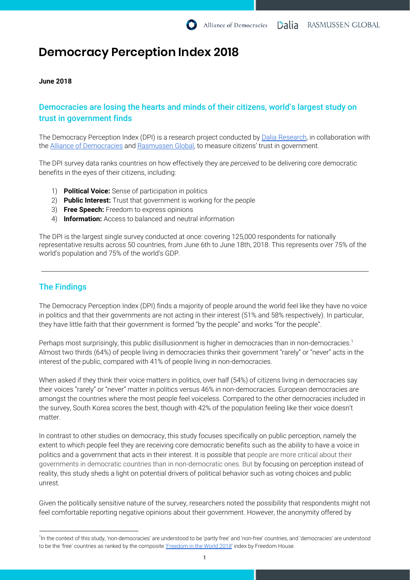# **Democracy Perception Index 2018**

### **June 2018**

# Democracies are losing the hearts and minds of their citizens, world's largest study on trust in government finds

The Democracy Perception Index (DPI) is a research project conducted by Dalia [Research,](https://daliaresearch.com/home/) in collaboration with the Alliance of [Democracies](http://www.allianceofdemocracies.org/) and [Rasmussen](https://rasmussenglobal.com/) Global, to measure citizens' trust in government.

The DPI survey data ranks countries on how effectively they are *perceived* to be delivering core democratic benefits in the eyes of their citizens, including:

- 1) **Political Voice:** Sense of participation in politics
- 2) **Public Interest:** Trust that government is working for the people
- 3) **Free Speech:** Freedom to express opinions
- 4) **Information:** Access to balanced and neutral information

The DPI is the largest single survey conducted at once: covering 125,000 respondents for nationally representative results across 50 countries, from June 6th to June 18th, 2018. This represents over 75% of the world's population and 75% of the world's GDP.

# The Findings

The Democracy Perception Index (DPI) finds a majority of people around the world feel like they have no voice in politics and that their governments are not acting in their interest (51% and 58% respectively). In particular, they have little faith that their government is formed "by the people" and works "for the people".

Perhaps most surprisingly, this public disillusionment is higher in democracies than in non-democracies. 1 Almost two thirds (64%) of people living in democracies thinks their government "rarely" or "never" acts in the interest of the public, compared with 41% of people living in non-democracies.

When asked if they think their voice matters in politics, over half (54%) of citizens living in democracies say their voices "rarely" or "never" matter in politics versus 46% in non-democracies. European democracies are amongst the countries where the most people feel voiceless. Compared to the other democracies included in the survey, South Korea scores the best, though with 42% of the population feeling like their voice doesn't matter.

In contrast to other studies on democracy, this study focuses specifically on public perception, namely the extent to which people feel they are receiving core democratic benefits such as the ability to have a voice in politics and a government that acts in their interest. It is possible that people are more critical about their governments in democratic countries than in non-democratic ones. But by focusing on perception instead of reality, this study sheds a light on potential drivers of political behavior such as voting choices and public unrest.

Given the politically sensitive nature of the survey, researchers noted the possibility that respondents might not feel comfortable reporting negative opinions about their government. However, the anonymity offered by

<sup>1</sup> In the context of this study, 'non-democracies' are understood to be 'partly free' and 'non-free' countries, and 'democracies' are understood to be the 'free' countries as ranked by the composite ['Freedom](https://freedomhouse.org/report/freedom-world/freedom-world-2018) in the World 2018' index by Freedom House.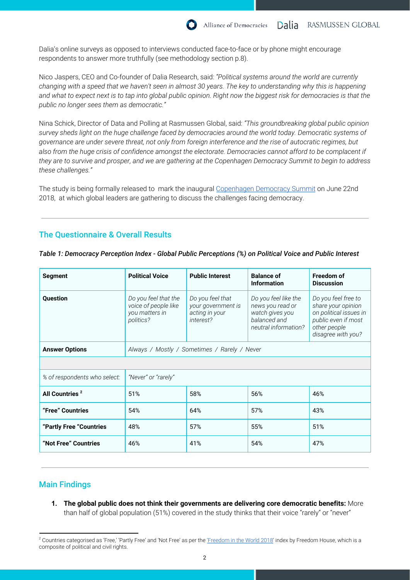Dalia's online surveys as opposed to interviews conducted face-to-face or by phone might encourage respondents to answer more truthfully (see methodology section p.8).

Nico Jaspers, CEO and Co-founder of Dalia Research, said: *"Political systems around the world are currently* changing with a speed that we haven't seen in almost 30 years. The key to understanding why this is happening and what to expect next is to tap into global public opinion. Right now the biggest risk for democracies is that the *public no longer sees them as democratic."*

Nina Schick, Director of Data and Polling at Rasmussen Global, said: *"This groundbreaking global public opinion* survey sheds light on the huge challenge faced by democracies around the world today. Democratic systems of governance are under severe threat, not only from foreign interference and the rise of autocratic regimes, but also from the huge crisis of confidence amongst the electorate. Democracies cannot afford to be complacent if they are to survive and prosper, and we are gathering at the Copenhagen Democracy Summit to begin to address *these challenges."*

The study is being formally released to mark the inaugural [Copenhagen](http://www.allianceofdemocracies.org/initiatives/the-copenhagen-democracy-summit/the-summit/) Democracy Summit on June 22nd 2018, at which global leaders are gathering to discuss the challenges facing democracy.

# The Questionnaire & Overall Results

| <b>Segment</b>               | <b>Political Voice</b>                                                      | <b>Public Interest</b>                                                | <b>Balance of</b><br><b>Information</b>                                                             | <b>Freedom of</b><br><b>Discussion</b>                                                                                           |
|------------------------------|-----------------------------------------------------------------------------|-----------------------------------------------------------------------|-----------------------------------------------------------------------------------------------------|----------------------------------------------------------------------------------------------------------------------------------|
| <b>Ouestion</b>              | Do you feel that the<br>voice of people like<br>you matters in<br>politics? | Do you feel that<br>your government is<br>acting in your<br>interest? | Do you feel like the<br>news you read or<br>watch gives you<br>balanced and<br>neutral information? | Do you feel free to<br>share your opinion<br>on political issues in<br>public even if most<br>other people<br>disagree with you? |
| <b>Answer Options</b>        | Always / Mostly / Sometimes / Rarely / Never                                |                                                                       |                                                                                                     |                                                                                                                                  |
|                              |                                                                             |                                                                       |                                                                                                     |                                                                                                                                  |
| % of respondents who select: | "Never" or "rarely"                                                         |                                                                       |                                                                                                     |                                                                                                                                  |
| All Countries <sup>2</sup>   | 51%                                                                         | 58%                                                                   | 56%                                                                                                 | 46%                                                                                                                              |
| "Free" Countries             | 54%                                                                         | 64%                                                                   | 57%                                                                                                 | 43%                                                                                                                              |
| "Partly Free "Countries      | 48%                                                                         | 57%                                                                   | 55%                                                                                                 | 51%                                                                                                                              |
| "Not Free" Countries         | 46%                                                                         | 41%                                                                   | 54%                                                                                                 | 47%                                                                                                                              |

*Table 1: Democracy Perception Index - Global Public Perceptions (%) on Political Voice and Public Interest*

# Main Findings

**1. The global public does not think their governments are delivering core democratic benefits:** More than half of global population (51%) covered in the study thinks that their voice "rarely" or "never"

 $2$  Countries categorised as 'Free,' 'Partly Free' and 'Not Free' as per the ['Freedom](https://freedomhouse.org/report/freedom-world/freedom-world-2018) in the World 2018' index by Freedom House, which is a composite of political and civil rights.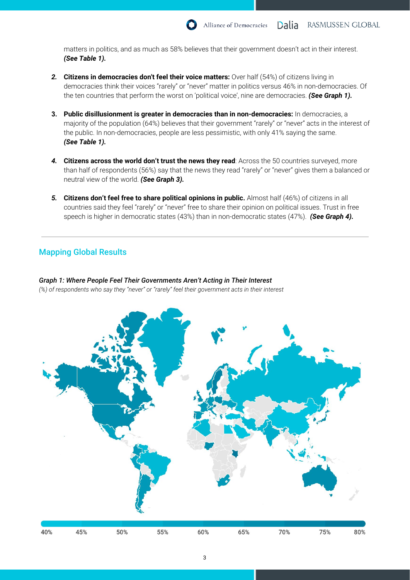matters in politics, and as much as 58% believes that their government doesn't act in their interest. *(See Table 1).*

- *2.* **Citizens in democracies don't feel their voice matters:** Over half (54%) of citizens living in democracies think their voices "rarely" or "never" matter in politics versus 46% in non-democracies. Of the ten countries that perform the worst on 'political voice', nine are democracies. *(See Graph 1).*
- **3. Public disillusionment is greater in democracies than in non-democracies:** In democracies, a majority of the population (64%) believes that their government "rarely" or "never" acts in the interest of the public. In non-democracies, people are less pessimistic, with only 41% saying the same. *(See Table 1).*
- *4.* **Citizens across the world don't trust the news they read**: Across the 50 countries surveyed, more than half of respondents (56%) say that the news they read "rarely" or "never" gives them a balanced or neutral view of the world. *(See Graph 3).*
- *5.* **Citizens don't feel free to share political opinions in public.** Almost half (46%) of citizens in all countries said they feel "rarely" or "never" free to share their opinion on political issues. Trust in free speech is higher in democratic states (43%) than in non-democratic states (47%). *(See Graph 4).*

# Mapping Global Results

*Graph 1: Where People Feel Their Governments Aren't Acting in Their Interest (%) of respondents who say they "never" or "rarely" feel their government acts in their interest*



40% 45% 50% 55% 60% 65% 70% 75% 80%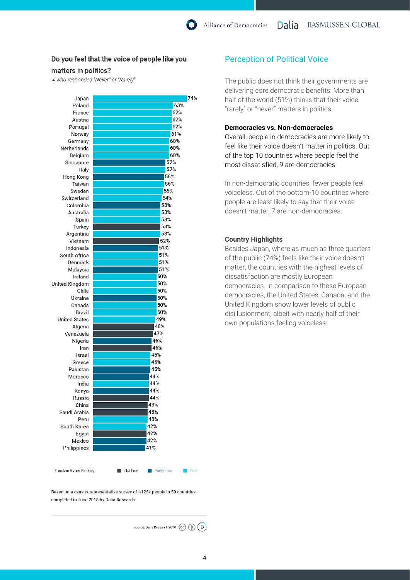# Do you feel that the voice of people like you

#### matters in politics?

% who responded "Never" or "Rarely"

| 74% | Japan                 |
|-----|-----------------------|
| 63% | Poland                |
| 62% | France                |
| 62% | Austria               |
| 62% | Portugal              |
| 61% | Norway                |
| 60% | Germany               |
| 60% | Netherlands           |
| 60% | Belgium               |
| 57% | Singapore             |
| 57% | Italy                 |
| 56% | Hong Kong             |
| 56% | Taiwan                |
| 55% | Sweden                |
| 54% | Switzerland           |
| 53% | Colombia              |
| 53% | Australia             |
| 53% | Spain                 |
| 53% | Turkey                |
| 53% | Argentina             |
| 52% | Vietnam               |
| 51% | Indonesia             |
| 51% | South Africa          |
| 51% | Denmark               |
| 51% | Malaysia              |
| 50% | Ireland               |
| 50% | <b>United Kingdom</b> |
| 50% | Chile                 |
| 50% | Ukraine               |
| 50% | Canada                |
| 50% | Brazil                |
| 49% | <b>United States</b>  |
| 48% | Algeria               |
| 47% | Venezuela             |
| 46% | Nigeria               |
| 46% | Iran                  |
| 45% | Israel                |
| 45% | Greece                |
| 45% | Pakistan              |
| 44% | Morocco               |
| 44% | India                 |
| 44% | Kenya                 |
| 44% | Russia                |
| 43% | China                 |
| 43% | Saudi Arabia          |
| 43% | Peru                  |
| 42% | South Korea           |
| 42% | Egypt                 |
| 42% | Mexico                |
| 41% | Philippines           |

#### Freedom House Ranking

Not Free **Partly Free** 

Based on a census-representative survey of ~125k people in 50 countries completed in June 2018 by Dalia Research.

source: Dalia Research 2018 (CC) (+) (D)

 $Free$ 

# Perception of Political Voice

The public does not think their governments are delivering core democratic benefits: More than half of the world (51%) thinks that their voice "rarely" or "never" matters in politics.

#### **Democracies vs. Non-democracies**

Overall, people in democracies are more likely to feel like their voice doesn't matter in politics. Out of the top 10 countries where people feel the most dissatisfied, 9 are democracies.

In non-democratic countries, fewer people feel voiceless. Out of the bottom-10 countries where people are least likely to say that their voice doesn't matter, 7 are non-democracies.

#### **Country Highlights**

Besides Japan, where as much as three quarters of the public (74%) feels like their voice doesn't matter, the countries with the highest levels of dissatisfaction are mostly European democracies. In comparison to these European democracies, the United States, Canada, and the United Kingdom show lower levels of public disillusionment, albeit with nearly half of their own populations feeling voiceless.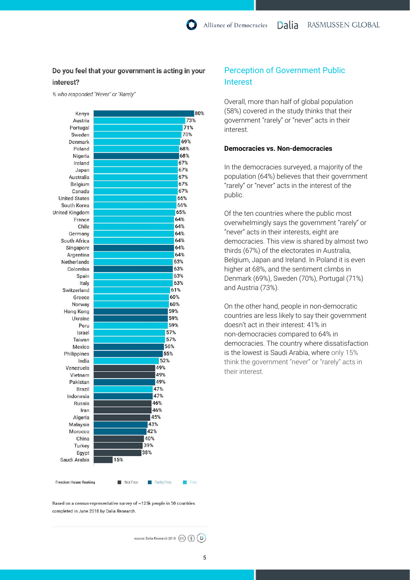# Do you feel that your government is acting in your interest?

% who responded "Never" or "Rarely"

| Kenya                        | 80%                           |
|------------------------------|-------------------------------|
| Austria                      | 73%                           |
| Portugal                     | 71%                           |
| Sweden                       | 70%                           |
| Denmark                      | 69%                           |
| Poland                       | 68%                           |
| Nigeria                      | 68%                           |
| Ireland                      | 67%                           |
| Japan                        | 67%                           |
| Australia                    | 67%                           |
| Belgium                      | 67%                           |
| Canada                       | 67%                           |
| <b>United States</b>         | 66%                           |
| South Korea                  | 66%                           |
| <b>United Kingdom</b>        | 65%                           |
| France                       | 64%                           |
| Chile                        | 64%                           |
| Germany                      | 64%                           |
| South Africa                 | 64%                           |
| Singapore                    | 64%                           |
| Argentina                    | 64%                           |
| Netherlands                  | 63%                           |
| Colombia                     | 63%                           |
| Spain                        | 63%                           |
| Italy                        | 63%                           |
| Switzerland                  | 61%                           |
| Greece                       | 60%                           |
| Norway                       | 60%                           |
| Hong Kong                    | 59%                           |
| Ukraine                      | 59%                           |
| Peru                         | 59%                           |
| Israel                       | 57%                           |
| Taiwan                       | 57%                           |
| Mexico                       | 56%                           |
| Philippines                  | 55%                           |
| India                        | 52%                           |
| Venezuela                    | 49%                           |
| Vietnam                      | 49%                           |
| Pakistan                     | 49%                           |
| Brazil                       | 47%                           |
| Indonesia                    | 47%                           |
| <b>Russia</b>                | 46%                           |
| Iran                         | 46%                           |
| Algeria                      | 45%                           |
| Malaysia                     | 43%                           |
| Morocco                      | 42%                           |
| China                        | 40%                           |
| Turkey                       | 39%                           |
|                              | 38%                           |
| Egypt                        | 15%                           |
| Saudi Arabia                 |                               |
| <b>Freedom House Ranking</b> | Not Free <b>I</b> Partly Free |

Based on a census-representative survey of ~125k people in 50 countries completed in June 2018 by Dalia Research.

source: Dalia Research 2018 (CC) (D)

# Perception of Government Public Interest

Overall, more than half of global population (58%) covered in the study thinks that their government "rarely" or "never" acts in their interest.

#### **Democracies vs. Non-democracies**

In the democracies surveyed, a majority of the population (64%) believes that their government "rarely" or "never" acts in the interest of the public.

Of the ten countries where the public most overwhelmingly says the government "rarely" or "never" acts in their interests, eight are democracies. This view is shared by almost two thirds (67%) of the electorates in Australia, Belgium, Japan and Ireland. In Poland it is even higher at 68%, and the sentiment climbs in Denmark (69%), Sweden (70%), Portugal (71%) and Austria (73%).

On the other hand, people in non-democratic countries are less likely to say their government doesn't act in their interest: 41% in non-democracies compared to 64% in democracies. The country where dissatisfaction is the lowest is Saudi Arabia, where only 15% think the government "never" or "rarely" acts in their interest.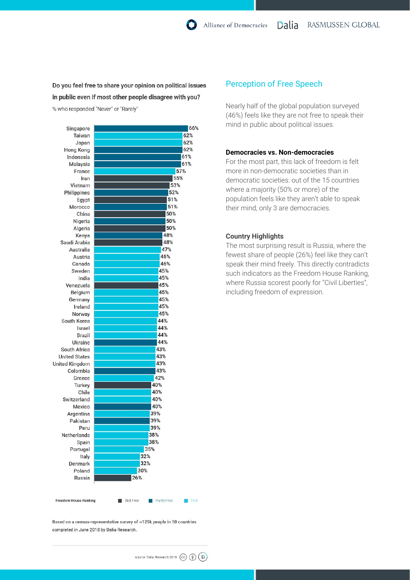# Do you feel free to share your opinion on political issues in public even if most other people disagree with you?

% who responded "Never" or "Rarely"

| Singapore                    | 66%                             |  |
|------------------------------|---------------------------------|--|
| Taiwan                       | 62%                             |  |
| Japan                        | 62%                             |  |
| Hong Kong                    | 62%                             |  |
| Indonesia                    | 61%                             |  |
| Malaysia                     | 61%                             |  |
| France                       | 57%                             |  |
| Iran                         | 55%                             |  |
| Vietnam                      | 53%                             |  |
| Philippines                  | 52%                             |  |
| Egypt                        | 51%                             |  |
| Morocco                      | 51%                             |  |
| China                        | 50%                             |  |
| Nigeria                      | 50%                             |  |
| Algeria                      | 50%                             |  |
| Kenya                        | 48%                             |  |
| Saudi Arabia                 | 48%                             |  |
| Australia                    | 47%                             |  |
| Austria                      | 46%                             |  |
| Canada                       | 46%                             |  |
| Sweden                       | 45%                             |  |
| India                        | 45%                             |  |
| Venezuela                    | 45%                             |  |
| Belgium                      | 45%                             |  |
| Germany                      | 45%                             |  |
| Ireland                      | 45%                             |  |
| Norway                       | 45%                             |  |
| South Korea                  | 44%                             |  |
| Israel                       | 44%                             |  |
| <b>Brazil</b>                | 44%                             |  |
| <b>Ukraine</b>               | 44%                             |  |
| South Africa                 | 43%                             |  |
| <b>United States</b>         | 43%                             |  |
| <b>United Kingdom</b>        | 43%                             |  |
| Colombia                     | 43%                             |  |
| Greece                       | 42%                             |  |
| Turkey                       | 40%                             |  |
| Chile                        | 40%                             |  |
| Switzerland                  | 40%                             |  |
| Mexico                       | 40%                             |  |
| Argentina                    | 39%                             |  |
| Pakistan                     | 39%                             |  |
| Peru                         | 39%                             |  |
| Netherlands                  | 38%                             |  |
| Spain                        | 38%                             |  |
| Portugal                     | 35%                             |  |
| Italy                        | 32%                             |  |
| Denmark                      | 32%                             |  |
| Poland                       | 30%                             |  |
| Russia                       | 26%                             |  |
|                              |                                 |  |
| <b>Freedom House Ranking</b> | Not Free<br>Partly Free<br>Free |  |

# Perception of Free Speech

Nearly half of the global population surveyed (46%) feels like they are not free to speak their mind in public about political issues.

#### **Democracies vs. Non-democracies**

For the most part, this lack of freedom is felt more in non-democratic societies than in democratic societies: out of the 15 countries where a majority (50% or more) of the population feels like they aren't able to speak their mind, only 3 are democracies.

### **Country Highlights**

The most surprising result is Russia, where the fewest share of people (26%) feel like they can't speak their mind freely. This directly contradicts such indicators as the Freedom House Ranking, where Russia scorest poorly for "Civil Liberties", including freedom of expression.

Based on a census-representative survey of ~125k people in 50 countries completed in June 2018 by Dalia Research.

source: Dalia Research 2018 (CC) ( ( C)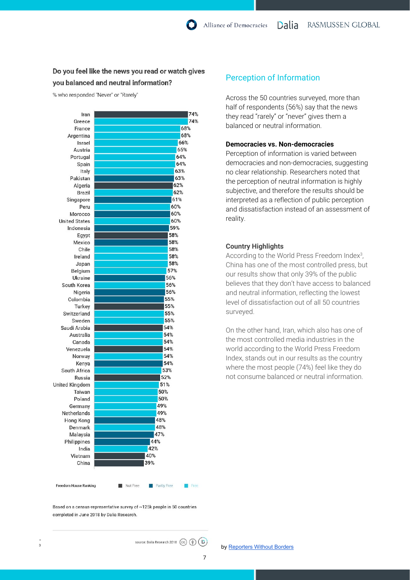# Do you feel like the news you read or watch gives you balanced and neutral information?

% who responded "Never" or "Rarely"



# Perception of Information

Across the 50 countries surveyed, more than half of respondents (56%) say that the news they read "rarely" or "never" gives them a balanced or neutral information.

#### **Democracies vs. Non-democracies**

Perception of information is varied between democracies and non-democracies, suggesting no clear relationship. Researchers noted that the perception of neutral information is highly subjective, and therefore the results should be interpreted as a reflection of public perception and dissatisfaction instead of an assessment of reality.

### **Country Highlights**

According to the World Press Freedom Index $3$ , China has one of the most controlled press, but our results show that only 39% of the public believes that they don't have access to balanced and neutral information, reflecting the lowest level of dissatisfaction out of all 50 countries surveyed.

On the other hand, Iran, which also has one of the most controlled media industries in the world according to the World Press Freedom Index, stands out in our results as the country where the most people (74%) feel like they do not consume balanced or neutral information.

Based on a census-representative survey of ~125k people in 50 countries completed in June 2018 by Dalia Research.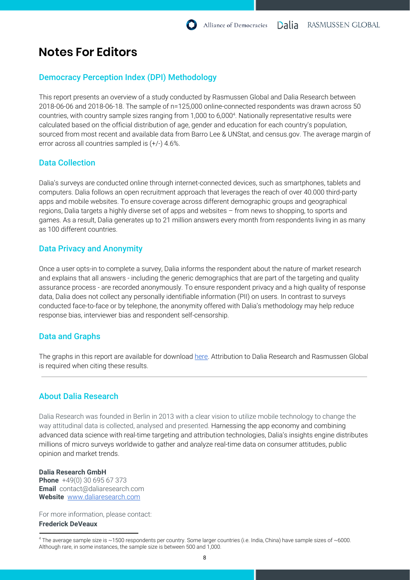# **Notes For Editors**

# Democracy Perception Index (DPI) Methodology

This report presents an overview of a study conducted by Rasmussen Global and Dalia Research between 2018-06-06 and 2018-06-18. The sample of n=125,000 online-connected respondents was drawn across 50 countries, with country sample sizes ranging from 1,000 to 6,000<sup>4</sup>. Nationally representative results were calculated based on the official distribution of age, gender and education for each country's population, sourced from most recent and available data from Barro Lee & UNStat, and census.gov. The average margin of error across all countries sampled is (+/-) 4.6%.

# Data Collection

Dalia's surveys are conducted online through internet-connected devices, such as smartphones, tablets and computers. Dalia follows an open recruitment approach that leverages the reach of over 40.000 third-party apps and mobile websites. To ensure coverage across different demographic groups and geographical regions, Dalia targets a highly diverse set of apps and websites – from news to shopping, to sports and games. As a result, Dalia generates up to 21 million answers every month from respondents living in as many as 100 different countries.

# Data Privacy and Anonymity

Once a user opts-in to complete a survey, Dalia informs the respondent about the nature of market research and explains that all answers - including the generic demographics that are part of the targeting and quality assurance process - are recorded anonymously. To ensure respondent privacy and a high quality of response data, Dalia does not collect any personally identifiable information (PII) on users. In contrast to surveys conducted face-to-face or by telephone, the anonymity offered with Dalia's methodology may help reduce response bias, interviewer bias and respondent self-censorship.

# Data and Graphs

The graphs in this report are available for download [here.](https://drive.google.com/drive/u/0/folders/1J0PyynOcxQ3z7_KCPVZp4BJCPhuiM7Tk) Attribution to Dalia Research and Rasmussen Global is required when citing these results.

# About Dalia Research

Dalia Research was founded in Berlin in 2013 with a clear vision to utilize mobile technology to change the way attitudinal data is collected, analysed and presented. Harnessing the app economy and combining advanced data science with real-time targeting and attribution technologies, Dalia's insights engine distributes millions of micro surveys worldwide to gather and analyze real-time data on consumer attitudes, public opinion and market trends.

### **Dalia Research GmbH**

**Phone** +49(0) 30 695 67 373 **Email** contact@daliaresearch.com **Website** [www.daliaresearch.com](http://www.daliaresearch.com/)

For more information, please contact: **Frederick DeVeaux**

 $4$  The average sample size is  $\sim$ 1500 respondents per country. Some larger countries (i.e. India, China) have sample sizes of  $\sim$ 6000. Although rare, in some instances, the sample size is between 500 and 1,000.